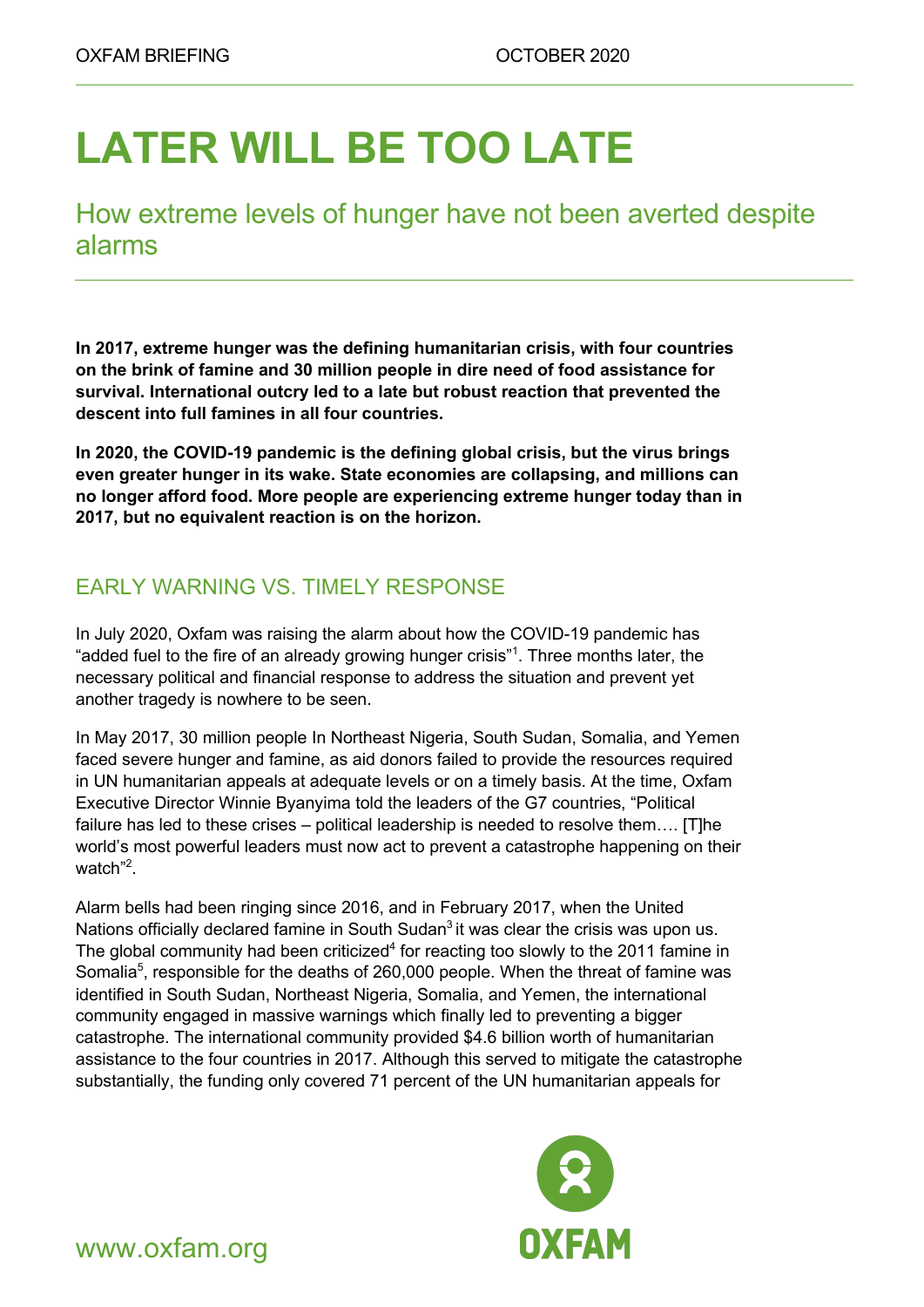# **LATER WILL BE TOO LATE**

How extreme levels of hunger have not been averted despite alarms

**In 2017, extreme hunger was the defining humanitarian crisis, with four countries on the brink of famine and 30 million people in dire need of food assistance for survival. International outcry led to a late but robust reaction that prevented the descent into full famines in all four countries.**

**In 2020, the COVID-19 pandemic is the defining global crisis, but the virus brings even greater hunger in its wake. State economies are collapsing, and millions can no longer afford food. More people are experiencing extreme hunger today than in 2017, but no equivalent reaction is on the horizon.**

## EARLY WARNING VS. TIMELY RESPONSE

In July 2020, Oxfam was raising the alarm about how the COVID-19 pandemic has "added fuel to the fire of an already growing hunger crisis"<sup>1</sup>. Three months later, the necessary political and financial response to address the situation and prevent yet another tragedy is nowhere to be seen.

In May 2017, 30 million people In Northeast Nigeria, South Sudan, Somalia, and Yemen faced severe hunger and famine, as aid donors failed to provide the resources required in UN humanitarian appeals at adequate levels or on a timely basis. At the time, Oxfam Executive Director Winnie Byanyima told the leaders of the G7 countries, "Political failure has led to these crises – political leadership is needed to resolve them…. [T]he world's most powerful leaders must now act to prevent a catastrophe happening on their watch"<sup>2</sup>.

Alarm bells had been ringing since 2016, and in February 2017, when the United Nations officially declared famine in South Sudan $3$  it was clear the crisis was upon us. The global community had been criticized<sup>4</sup> for reacting too slowly to the 2011 famine in Somalia<sup>5</sup>, responsible for the deaths of 260,000 people. When the threat of famine was identified in South Sudan, Northeast Nigeria, Somalia, and Yemen, the international community engaged in massive warnings which finally led to preventing a bigger catastrophe. The international community provided \$4.6 billion worth of humanitarian assistance to the four countries in 2017. Although this served to mitigate the catastrophe substantially, the funding only covered 71 percent of the UN humanitarian appeals for



www.oxfam.org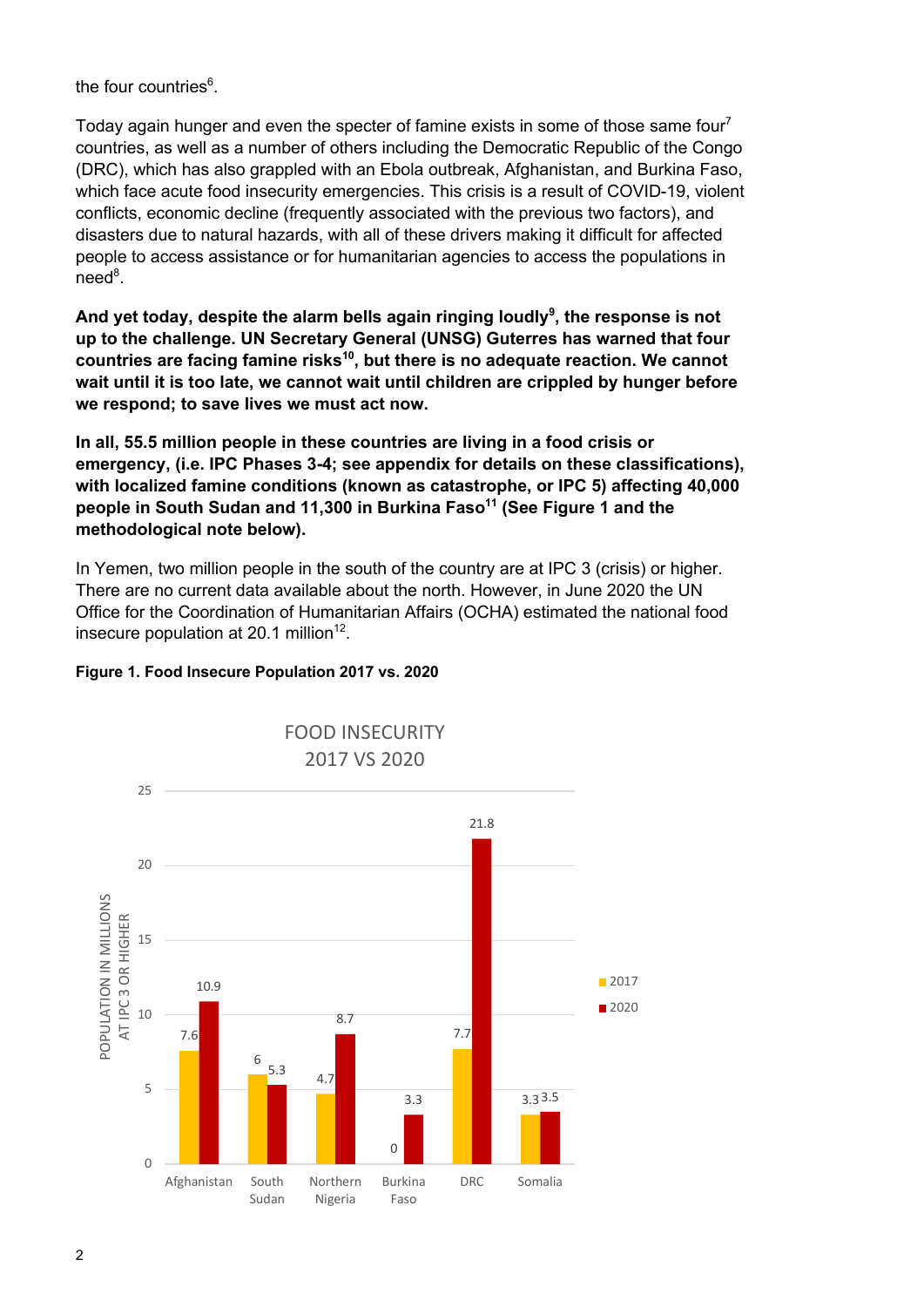the four countries<sup>6</sup>.

Today again hunger and even the specter of famine exists in some of those same four<sup>7</sup> countries, as well as a number of others including the Democratic Republic of the Congo (DRC), which has also grappled with an Ebola outbreak, Afghanistan, and Burkina Faso, which face acute food insecurity emergencies. This crisis is a result of COVID-19, violent conflicts, economic decline (frequently associated with the previous two factors), and disasters due to natural hazards, with all of these drivers making it difficult for affected people to access assistance or for humanitarian agencies to access the populations in need<sup>8</sup>.

**And yet today, despite the alarm bells again ringing loudly<sup>9</sup> , the response is not up to the challenge. UN Secretary General (UNSG) Guterres has warned that four countries are facing famine risks10, but there is no adequate reaction. We cannot wait until it is too late, we cannot wait until children are crippled by hunger before we respond; to save lives we must act now.**

**In all, 55.5 million people in these countries are living in a food crisis or emergency, (i.e. IPC Phases 3-4; see appendix for details on these classifications), with localized famine conditions (known as catastrophe, or IPC 5) affecting 40,000**  people in South Sudan and 11,300 in Burkina Faso<sup>11</sup> (See Figure 1 and the **methodological note below).** 

In Yemen, two million people in the south of the country are at IPC 3 (crisis) or higher. There are no current data available about the north. However, in June 2020 the UN Office for the Coordination of Humanitarian Affairs (OCHA) estimated the national food insecure population at  $20.1$  million<sup>12</sup>.

#### **Figure 1. Food Insecure Population 2017 vs. 2020**

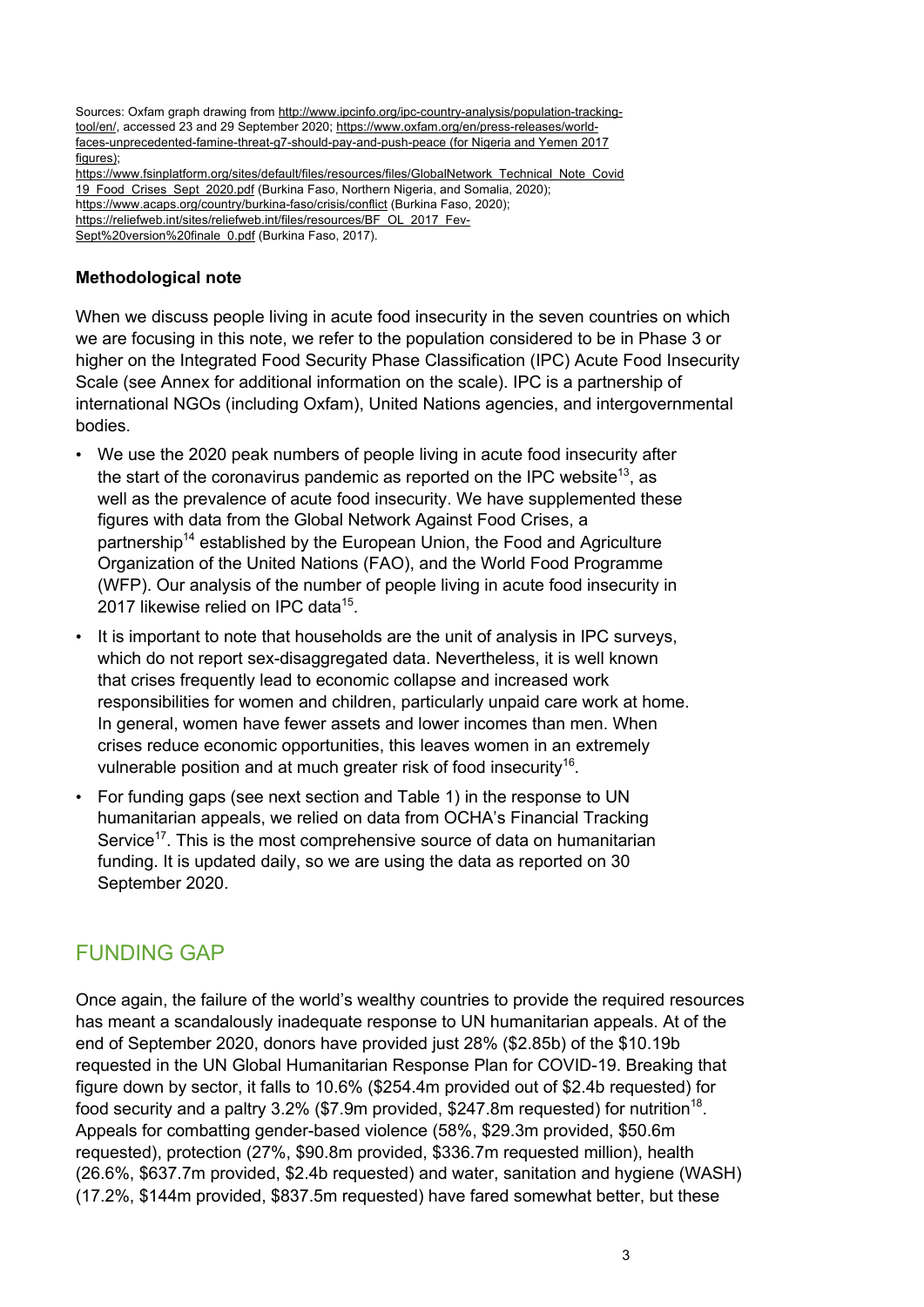Sources: Oxfam graph drawing from http://www.ipcinfo.org/ipc-country-analysis/population-trackingtool/en/, accessed 23 and 29 September 2020; https://www.oxfam.org/en/press-releases/worldfaces-unprecedented-famine-threat-g7-should-pay-and-push-peace (for Nigeria and Yemen 2017 figures); https://www.fsinplatform.org/sites/default/files/resources/files/GlobalNetwork\_Technical\_Note\_Covid 19\_Food\_Crises\_Sept\_2020.pdf (Burkina Faso, Northern Nigeria, and Somalia, 2020); https://www.acaps.org/country/burkina-faso/crisis/conflict (Burkina Faso, 2020); https://reliefweb.int/sites/reliefweb.int/files/resources/BF\_OL\_2017\_Fev-Sept%20version%20finale\_0.pdf (Burkina Faso, 2017).

#### **Methodological note**

When we discuss people living in acute food insecurity in the seven countries on which we are focusing in this note, we refer to the population considered to be in Phase 3 or higher on the Integrated Food Security Phase Classification (IPC) Acute Food Insecurity Scale (see Annex for additional information on the scale). IPC is a partnership of international NGOs (including Oxfam), United Nations agencies, and intergovernmental bodies.

- We use the 2020 peak numbers of people living in acute food insecurity after the start of the coronavirus pandemic as reported on the IPC website<sup>13</sup>, as well as the prevalence of acute food insecurity. We have supplemented these figures with data from the Global Network Against Food Crises, a partnership<sup>14</sup> established by the European Union, the Food and Agriculture Organization of the United Nations (FAO), and the World Food Programme (WFP). Our analysis of the number of people living in acute food insecurity in 2017 likewise relied on IPC data<sup>15</sup>.
- It is important to note that households are the unit of analysis in IPC surveys, which do not report sex-disaggregated data. Nevertheless, it is well known that crises frequently lead to economic collapse and increased work responsibilities for women and children, particularly unpaid care work at home. In general, women have fewer assets and lower incomes than men. When crises reduce economic opportunities, this leaves women in an extremely vulnerable position and at much greater risk of food insecurity<sup>16</sup>.
- For funding gaps (see next section and Table 1) in the response to UN humanitarian appeals, we relied on data from OCHA's Financial Tracking Service<sup>17</sup>. This is the most comprehensive source of data on humanitarian funding. It is updated daily, so we are using the data as reported on 30 September 2020.

#### FUNDING GAP

Once again, the failure of the world's wealthy countries to provide the required resources has meant a scandalously inadequate response to UN humanitarian appeals. At of the end of September 2020, donors have provided just 28% (\$2.85b) of the \$10.19b requested in the UN Global Humanitarian Response Plan for COVID-19. Breaking that figure down by sector, it falls to 10.6% (\$254.4m provided out of \$2.4b requested) for food security and a paltry  $3.2\%$  (\$7.9m provided, \$247.8m requested) for nutrition<sup>18</sup>. Appeals for combatting gender-based violence (58%, \$29.3m provided, \$50.6m requested), protection (27%, \$90.8m provided, \$336.7m requested million), health (26.6%, \$637.7m provided, \$2.4b requested) and water, sanitation and hygiene (WASH) (17.2%, \$144m provided, \$837.5m requested) have fared somewhat better, but these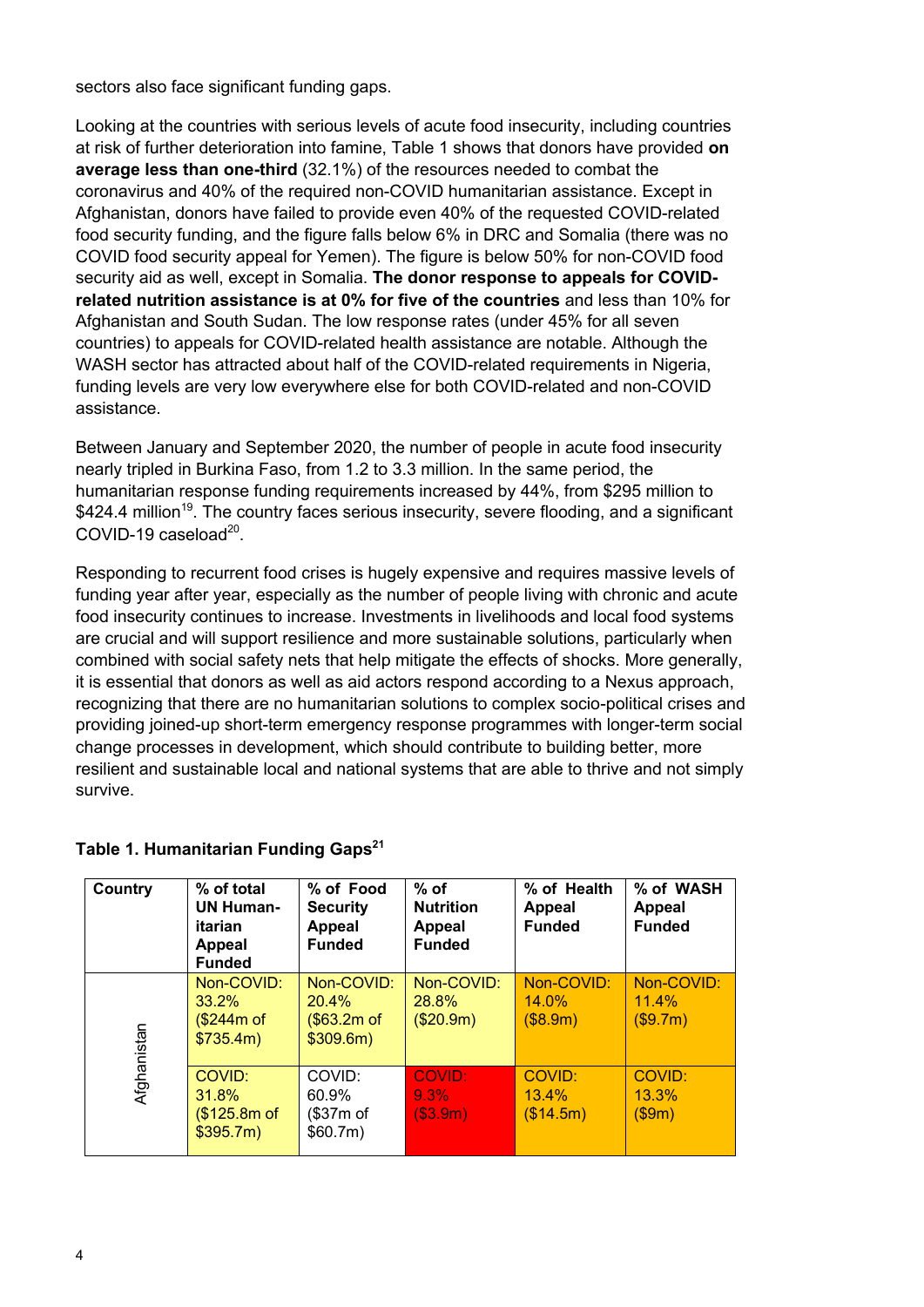sectors also face significant funding gaps.

Looking at the countries with serious levels of acute food insecurity, including countries at risk of further deterioration into famine, Table 1 shows that donors have provided **on average less than one-third** (32.1%) of the resources needed to combat the coronavirus and 40% of the required non-COVID humanitarian assistance. Except in Afghanistan, donors have failed to provide even 40% of the requested COVID-related food security funding, and the figure falls below 6% in DRC and Somalia (there was no COVID food security appeal for Yemen). The figure is below 50% for non-COVID food security aid as well, except in Somalia. **The donor response to appeals for COVIDrelated nutrition assistance is at 0% for five of the countries** and less than 10% for Afghanistan and South Sudan. The low response rates (under 45% for all seven countries) to appeals for COVID-related health assistance are notable. Although the WASH sector has attracted about half of the COVID-related requirements in Nigeria, funding levels are very low everywhere else for both COVID-related and non-COVID assistance.

Between January and September 2020, the number of people in acute food insecurity nearly tripled in Burkina Faso, from 1.2 to 3.3 million. In the same period, the humanitarian response funding requirements increased by 44%, from \$295 million to  $$424.4$  million<sup>19</sup>. The country faces serious insecurity, severe flooding, and a significant COVID-19 caseload $^{20}$ .

Responding to recurrent food crises is hugely expensive and requires massive levels of funding year after year, especially as the number of people living with chronic and acute food insecurity continues to increase. Investments in livelihoods and local food systems are crucial and will support resilience and more sustainable solutions, particularly when combined with social safety nets that help mitigate the effects of shocks. More generally, it is essential that donors as well as aid actors respond according to a Nexus approach, recognizing that there are no humanitarian solutions to complex socio-political crises and providing joined-up short-term emergency response programmes with longer-term social change processes in development, which should contribute to building better, more resilient and sustainable local and national systems that are able to thrive and not simply survive.

| Country     | % of total<br><b>UN Human-</b><br>itarian<br><b>Appeal</b><br><b>Funded</b> | % of Food<br><b>Security</b><br><b>Appeal</b><br><b>Funded</b> | $%$ of<br><b>Nutrition</b><br><b>Appeal</b><br><b>Funded</b> | % of Health<br>Appeal<br><b>Funded</b> | % of WASH<br><b>Appeal</b><br><b>Funded</b> |
|-------------|-----------------------------------------------------------------------------|----------------------------------------------------------------|--------------------------------------------------------------|----------------------------------------|---------------------------------------------|
| Afghanistan | Non-COVID:<br>33.2%<br>(\$244m of<br>\$735.4m)                              | Non-COVID:<br>20.4%<br>(\$63.2m of<br>\$309.6m)                | Non-COVID:<br>28.8%<br>(\$20.9m)                             | Non-COVID:<br>$14.0\%$<br>(S8.9m)      | Non-COVID:<br>11.4%<br>(\$9.7m)             |
|             | COVID:<br>31.8%<br>(\$125.8m of<br>\$395.7m)                                | COVID:<br>60.9%<br>(\$37m of<br>\$60.7m\$                      | COVID:<br>$9.3\%$<br>( \$3.9m)                               | COVID:<br>13.4%<br>(\$14.5m)           | COVID:<br>13.3%<br>(\$9m)                   |

#### **Table 1. Humanitarian Funding Gaps<sup>21</sup>**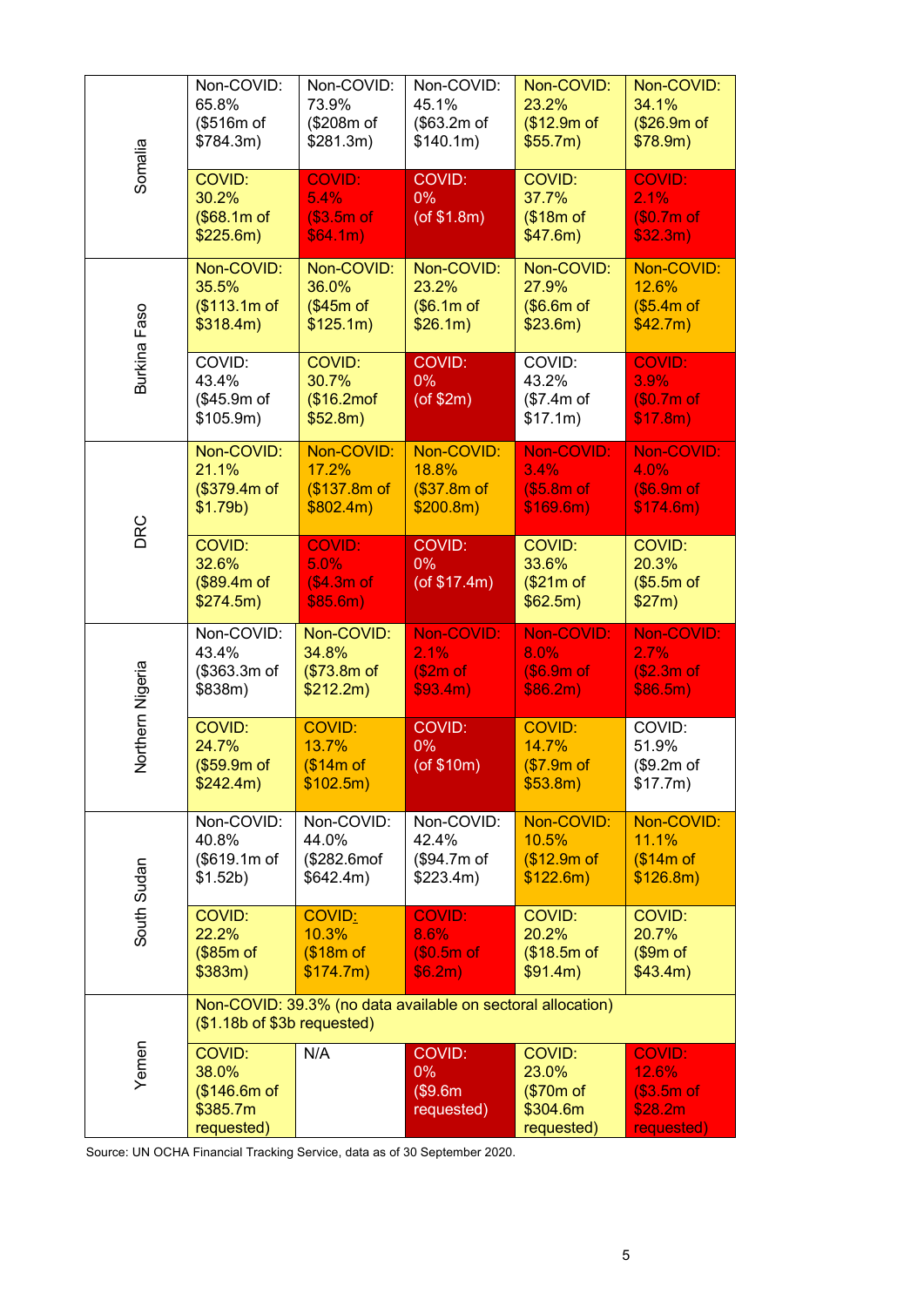| Somalia          | Non-COVID:<br>65.8%<br>(\$516m of<br>\$784.3m)                                             | Non-COVID:<br>73.9%<br>(\$208m of<br>\$281.3m)    | Non-COVID:<br>45.1%<br>(\$63.2m of<br>\$140.1m)  | Non-COVID:<br>23.2%<br>(\$12.9m of<br>\$55.7m)                | Non-COVID:<br>34.1%<br>(\$26.9m of<br>\$78.9m)               |  |  |
|------------------|--------------------------------------------------------------------------------------------|---------------------------------------------------|--------------------------------------------------|---------------------------------------------------------------|--------------------------------------------------------------|--|--|
|                  | COVID:<br>30.2%<br>(\$68.1m of<br>\$225.6m)                                                | <b>COVID:</b><br>5.4%<br>(\$3.5m of<br>\$64.1m\$  | COVID:<br>$0\%$<br>$($ of \$1.8m $)$             | COVID:<br>37.7%<br>(\$18m of<br>\$47.6m)                      | <b>COVID:</b><br>2.1%<br>(\$0.7m of<br>\$32.3m)              |  |  |
| Burkina Faso     | Non-COVID:<br>35.5%<br>(\$113.1m of<br>\$318.4m)                                           | Non-COVID:<br>36.0%<br>(\$45m of<br>\$125.1m)     | Non-COVID:<br>23.2%<br>\$6.1m of<br>\$26.1m\$    | Non-COVID:<br>27.9%<br>(\$6.6m of<br>\$23.6m)                 | Non-COVID:<br>12.6%<br>(\$5.4m of<br>\$42.7m\$               |  |  |
|                  | COVID:<br>43.4%<br>(\$45.9m of<br>\$105.9m)                                                | COVID:<br>30.7%<br>$$16.2\text{mof}$<br>\$52.8m)  | COVID:<br>$0\%$<br>$($ of \$2m $)$               | COVID:<br>43.2%<br>(\$7.4m of<br>\$17.1m)                     | <b>COVID:</b><br>3.9%<br>\$0.7m of<br>\$17.8m)               |  |  |
| DRC              | Non-COVID:<br>21.1%<br>(\$379.4m of<br>\$1.79b)                                            | Non-COVID:<br>17.2%<br>(\$137.8m of<br>\$802.4m\$ | Non-COVID:<br>18.8%<br>(\$37.8m of<br>\$200.8m)  | Non-COVID:<br>3.4%<br>\$5.8m of<br>\$169.6m)                  | Non-COVID:<br>4.0%<br>(\$6.9m of<br>\$174.6m)                |  |  |
|                  | COVID:<br>32.6%<br>(\$89.4m of<br>\$274.5m)                                                | <b>COVID:</b><br>5.0%<br>\$4.3m of<br>\$85.6m)    | <b>COVID:</b><br>$0\%$<br>$($ of \$17.4m $)$     | COVID:<br>33.6%<br>(\$21m of<br>\$62.5m\$                     | COVID:<br>20.3%<br>\$5.5m of<br>\$27m)                       |  |  |
| Northern Nigeria | Non-COVID:<br>43.4%<br>(\$363.3m of<br>\$838m)                                             | Non-COVID:<br>34.8%<br>(\$73.8m of<br>\$212.2m)   | Non-COVID:<br>2.1%<br>\$2m of<br>\$93.4m)        | Non-COVID:<br>8.0%<br>(\$6.9m of<br>\$86.2m\$                 | Non-COVID:<br>2.7%<br>(\$2.3m of<br>\$86.5m\$                |  |  |
|                  | COVID:<br>24.7%<br>(\$59.9m of<br>\$242.4m)                                                | <b>COVID:</b><br>13.7%<br>(\$14m of<br>\$102.5m)  | COVID:<br>$0\%$<br>(of \$10m)                    | <b>COVID:</b><br>14.7%<br>\$7.9m of<br>\$53.8m)               | COVID:<br>51.9%<br>\$9.2m of<br>\$17.7m)                     |  |  |
| South Sudan      | Non-COVID:<br>40.8%<br>(\$619.1m of<br>\$1.52b)                                            | Non-COVID:<br>44.0%<br>(\$282.6mof<br>\$642.4m)   | Non-COVID:<br>42.4%<br>(\$94.7m of<br>\$223.4m)  | Non-COVID:<br>10.5%<br>(\$12.9m of<br>\$122.6m)               | Non-COVID:<br>11.1%<br>(\$14m of<br>\$126.8m)                |  |  |
|                  | COVID:<br>22.2%<br>(\$85m of<br>\$383m)                                                    | COVID:<br>10.3%<br>(\$18m of<br>\$174.7m)         | <b>COVID:</b><br>8.6%<br>$(S0.5m$ of<br>\$6.2m\$ | COVID:<br>20.2%<br>(\$18.5m of<br>\$91.4m)                    | COVID:<br>20.7%<br>\$9m of<br>\$43.4m)                       |  |  |
| Yemen            | Non-COVID: 39.3% (no data available on sectoral allocation)<br>(\$1.18b of \$3b requested) |                                                   |                                                  |                                                               |                                                              |  |  |
|                  | COVID:<br>38.0%<br>(\$146.6m of<br>\$385.7m<br>requested)                                  | N/A                                               | COVID:<br>$0\%$<br>(\$9.6m<br>requested)         | <b>COVID:</b><br>23.0%<br>(\$70m of<br>\$304.6m<br>requested) | <b>COVID:</b><br>12.6%<br>\$3.5m of<br>\$28.2m<br>requested) |  |  |

Source: UN OCHA Financial Tracking Service, data as of 30 September 2020.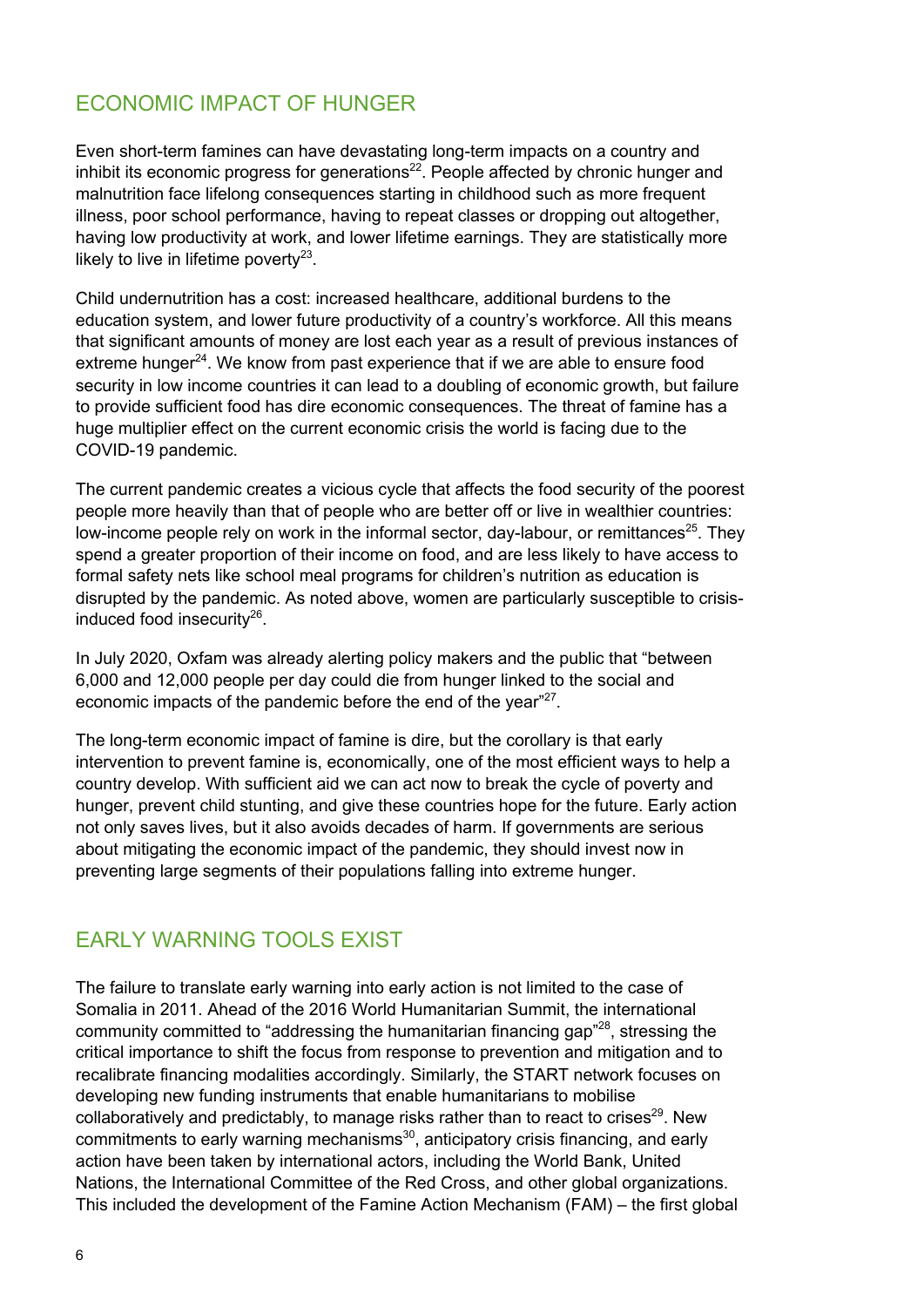#### ECONOMIC IMPACT OF HUNGER

Even short-term famines can have devastating long-term impacts on a country and inhibit its economic progress for generations $^{22}$ . People affected by chronic hunger and malnutrition face lifelong consequences starting in childhood such as more frequent illness, poor school performance, having to repeat classes or dropping out altogether, having low productivity at work, and lower lifetime earnings. They are statistically more likely to live in lifetime poverty<sup>23</sup>.

Child undernutrition has a cost: increased healthcare, additional burdens to the education system, and lower future productivity of a country's workforce. All this means that significant amounts of money are lost each year as a result of previous instances of extreme hunger $^{24}$ . We know from past experience that if we are able to ensure food security in low income countries it can lead to a doubling of economic growth, but failure to provide sufficient food has dire economic consequences. The threat of famine has a huge multiplier effect on the current economic crisis the world is facing due to the COVID-19 pandemic.

The current pandemic creates a vicious cycle that affects the food security of the poorest people more heavily than that of people who are better off or live in wealthier countries: low-income people rely on work in the informal sector, day-labour, or remittances<sup>25</sup>. They spend a greater proportion of their income on food, and are less likely to have access to formal safety nets like school meal programs for children's nutrition as education is disrupted by the pandemic. As noted above, women are particularly susceptible to crisisinduced food insecurity $^{26}$ .

In July 2020, Oxfam was already alerting policy makers and the public that "between 6,000 and 12,000 people per day could die from hunger linked to the social and economic impacts of the pandemic before the end of the year"<sup>27</sup>.

The long-term economic impact of famine is dire, but the corollary is that early intervention to prevent famine is, economically, one of the most efficient ways to help a country develop. With sufficient aid we can act now to break the cycle of poverty and hunger, prevent child stunting, and give these countries hope for the future. Early action not only saves lives, but it also avoids decades of harm. If governments are serious about mitigating the economic impact of the pandemic, they should invest now in preventing large segments of their populations falling into extreme hunger.

#### EARLY WARNING TOOLS EXIST

The failure to translate early warning into early action is not limited to the case of Somalia in 2011. Ahead of the 2016 World Humanitarian Summit, the international community committed to "addressing the humanitarian financing gap"<sup>28</sup>, stressing the critical importance to shift the focus from response to prevention and mitigation and to recalibrate financing modalities accordingly. Similarly, the START network focuses on developing new funding instruments that enable humanitarians to mobilise collaboratively and predictably, to manage risks rather than to react to crises $^{29}$ . New commitments to early warning mechanisms<sup>30</sup>, anticipatory crisis financing, and early action have been taken by international actors, including the World Bank, United Nations, the International Committee of the Red Cross, and other global organizations. This included the development of the Famine Action Mechanism (FAM) – the first global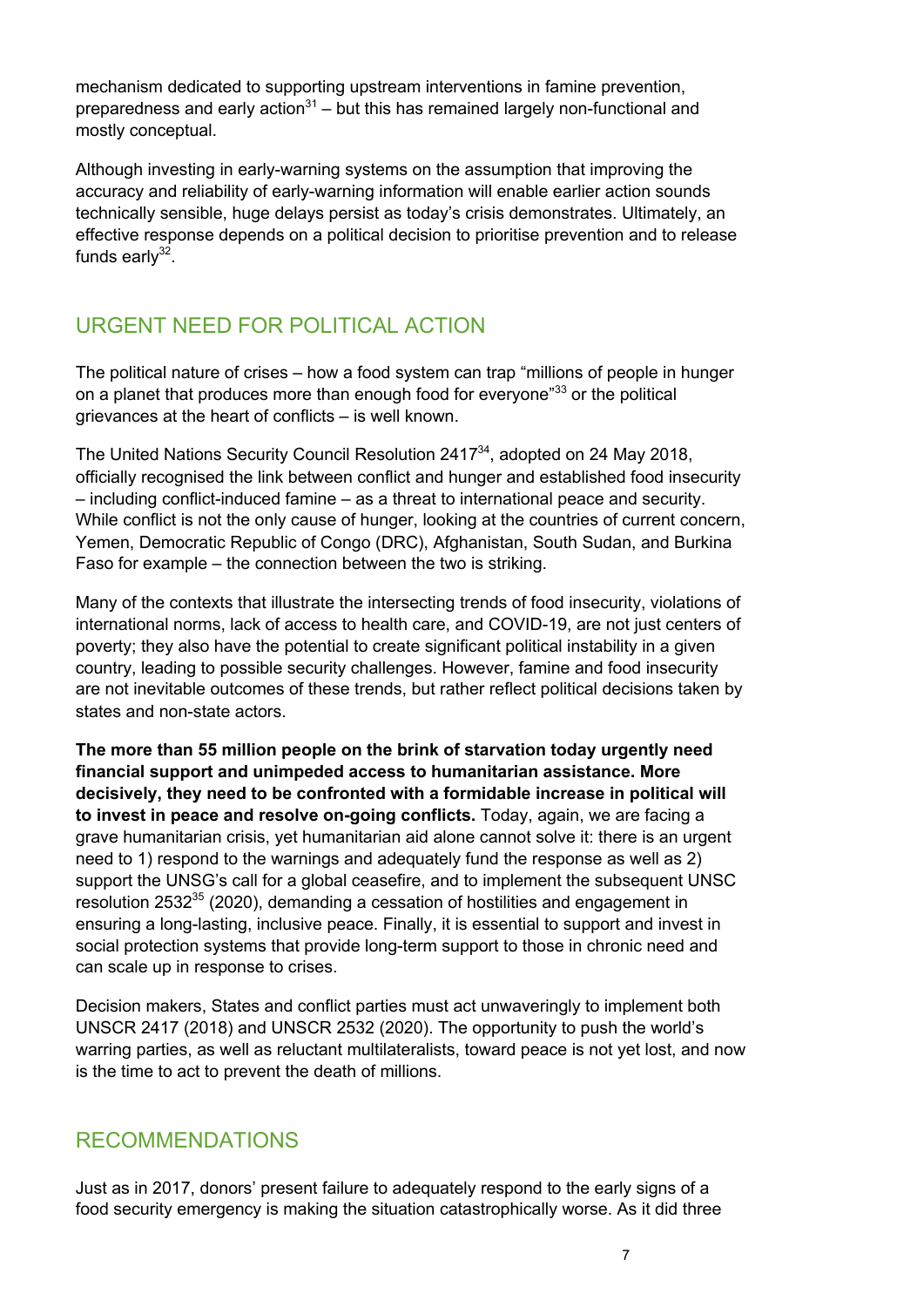mechanism dedicated to supporting upstream interventions in famine prevention, preparedness and early action<sup>31</sup> – but this has remained largely non-functional and mostly conceptual.

Although investing in early-warning systems on the assumption that improving the accuracy and reliability of early-warning information will enable earlier action sounds technically sensible, huge delays persist as today's crisis demonstrates. Ultimately, an effective response depends on a political decision to prioritise prevention and to release funds earl $v^{32}$ .

## URGENT NEED FOR POLITICAL ACTION

The political nature of crises – how a food system can trap "millions of people in hunger on a planet that produces more than enough food for everyone"<sup>33</sup> or the political grievances at the heart of conflicts – is well known.

The United Nations Security Council Resolution 241734, adopted on 24 May 2018, officially recognised the link between conflict and hunger and established food insecurity – including conflict-induced famine – as a threat to international peace and security. While conflict is not the only cause of hunger, looking at the countries of current concern, Yemen, Democratic Republic of Congo (DRC), Afghanistan, South Sudan, and Burkina Faso for example – the connection between the two is striking.

Many of the contexts that illustrate the intersecting trends of food insecurity, violations of international norms, lack of access to health care, and COVID-19, are not just centers of poverty; they also have the potential to create significant political instability in a given country, leading to possible security challenges. However, famine and food insecurity are not inevitable outcomes of these trends, but rather reflect political decisions taken by states and non-state actors.

**The more than 55 million people on the brink of starvation today urgently need financial support and unimpeded access to humanitarian assistance. More decisively, they need to be confronted with a formidable increase in political will to invest in peace and resolve on-going conflicts.** Today, again, we are facing a grave humanitarian crisis, yet humanitarian aid alone cannot solve it: there is an urgent need to 1) respond to the warnings and adequately fund the response as well as 2) support the UNSG's call for a global ceasefire, and to implement the subsequent UNSC resolution 2532<sup>35</sup> (2020), demanding a cessation of hostilities and engagement in ensuring a long-lasting, inclusive peace. Finally, it is essential to support and invest in social protection systems that provide long-term support to those in chronic need and can scale up in response to crises.

Decision makers, States and conflict parties must act unwaveringly to implement both UNSCR 2417 (2018) and UNSCR 2532 (2020). The opportunity to push the world's warring parties, as well as reluctant multilateralists, toward peace is not yet lost, and now is the time to act to prevent the death of millions.

#### RECOMMENDATIONS

Just as in 2017, donors' present failure to adequately respond to the early signs of a food security emergency is making the situation catastrophically worse. As it did three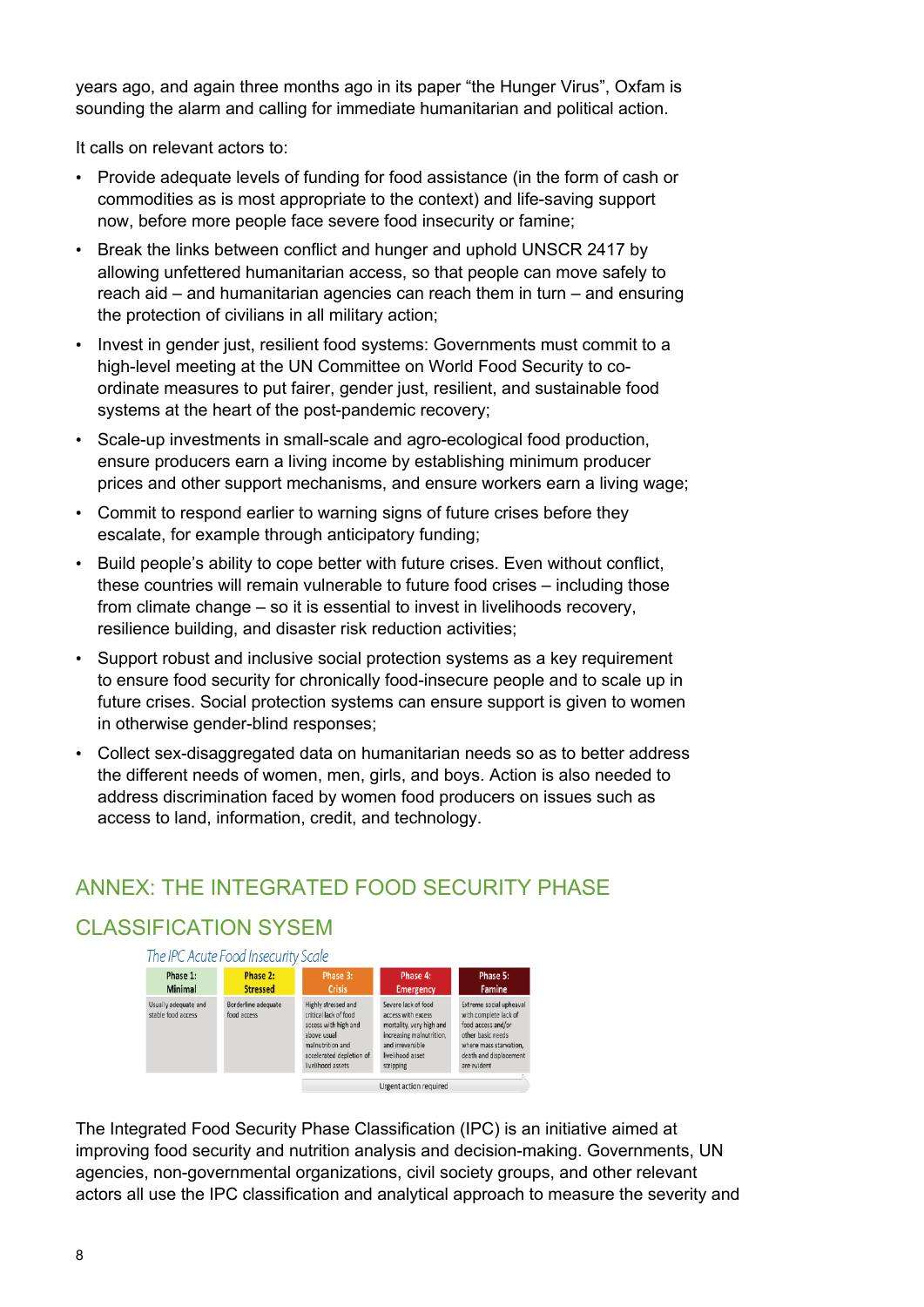years ago, and again three months ago in its paper "the Hunger Virus", Oxfam is sounding the alarm and calling for immediate humanitarian and political action.

It calls on relevant actors to:

- Provide adequate levels of funding for food assistance (in the form of cash or commodities as is most appropriate to the context) and life-saving support now, before more people face severe food insecurity or famine;
- Break the links between conflict and hunger and uphold UNSCR 2417 by allowing unfettered humanitarian access, so that people can move safely to reach aid – and humanitarian agencies can reach them in turn – and ensuring the protection of civilians in all military action;
- Invest in gender just, resilient food systems: Governments must commit to a high-level meeting at the UN Committee on World Food Security to coordinate measures to put fairer, gender just, resilient, and sustainable food systems at the heart of the post-pandemic recovery;
- Scale-up investments in small-scale and agro-ecological food production, ensure producers earn a living income by establishing minimum producer prices and other support mechanisms, and ensure workers earn a living wage;
- Commit to respond earlier to warning signs of future crises before they escalate, for example through anticipatory funding;
- Build people's ability to cope better with future crises. Even without conflict, these countries will remain vulnerable to future food crises – including those from climate change – so it is essential to invest in livelihoods recovery, resilience building, and disaster risk reduction activities;
- Support robust and inclusive social protection systems as a key requirement to ensure food security for chronically food-insecure people and to scale up in future crises. Social protection systems can ensure support is given to women in otherwise gender-blind responses;
- Collect sex-disaggregated data on humanitarian needs so as to better address the different needs of women, men, girls, and boys. Action is also needed to address discrimination faced by women food producers on issues such as access to land, information, credit, and technology.

## ANNEX: THE INTEGRATED FOOD SECURITY PHASE

## CLASSIFICATION SYSEM



The Integrated Food Security Phase Classification (IPC) is an initiative aimed at improving food security and nutrition analysis and decision-making. Governments, UN agencies, non-governmental organizations, civil society groups, and other relevant actors all use the IPC classification and analytical approach to measure the severity and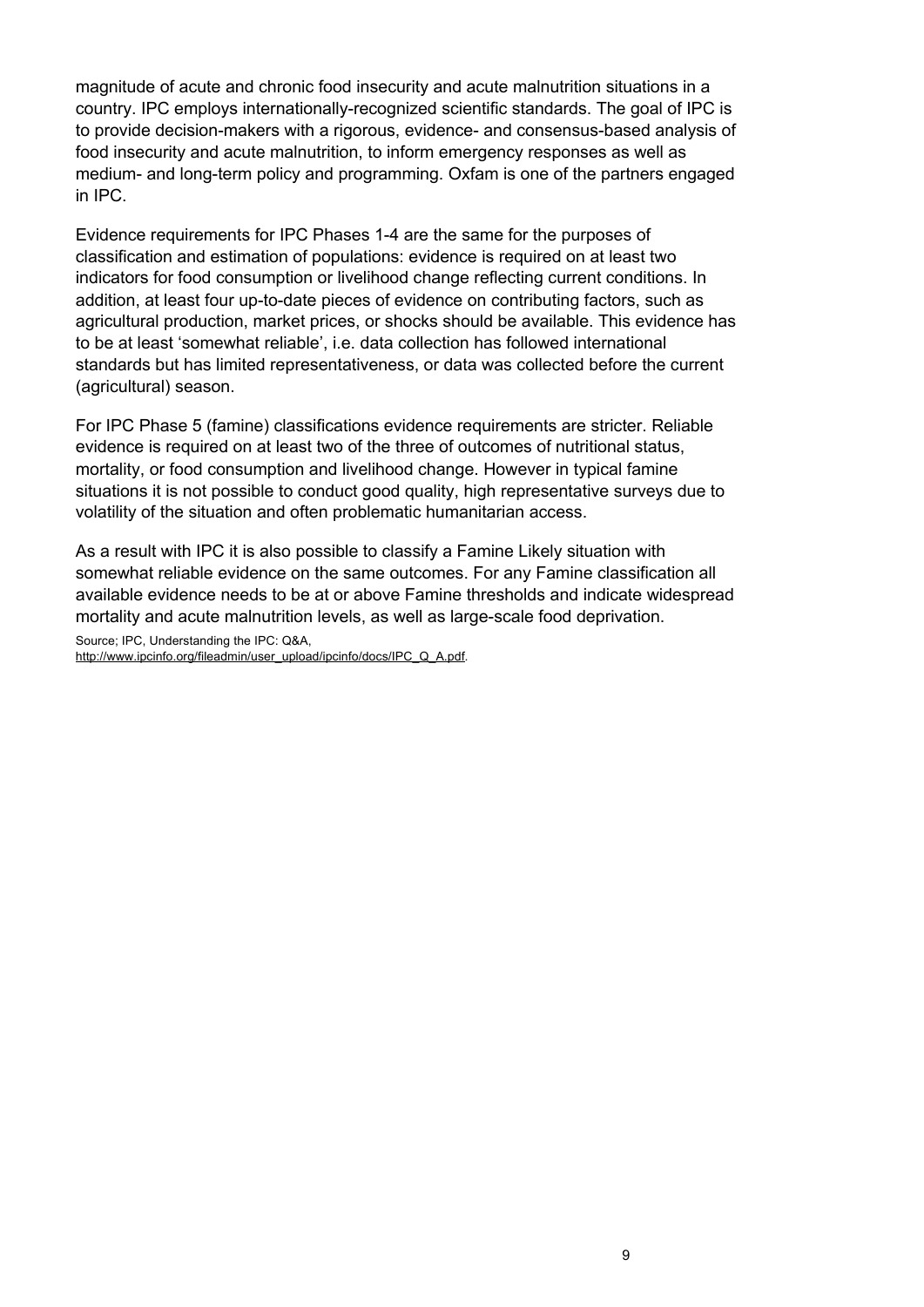magnitude of acute and chronic food insecurity and acute malnutrition situations in a country. IPC employs internationally-recognized scientific standards. The goal of IPC is to provide decision-makers with a rigorous, evidence- and consensus-based analysis of food insecurity and acute malnutrition, to inform emergency responses as well as medium- and long-term policy and programming. Oxfam is one of the partners engaged in IPC.

Evidence requirements for IPC Phases 1-4 are the same for the purposes of classification and estimation of populations: evidence is required on at least two indicators for food consumption or livelihood change reflecting current conditions. In addition, at least four up-to-date pieces of evidence on contributing factors, such as agricultural production, market prices, or shocks should be available. This evidence has to be at least 'somewhat reliable', i.e. data collection has followed international standards but has limited representativeness, or data was collected before the current (agricultural) season.

For IPC Phase 5 (famine) classifications evidence requirements are stricter. Reliable evidence is required on at least two of the three of outcomes of nutritional status, mortality, or food consumption and livelihood change. However in typical famine situations it is not possible to conduct good quality, high representative surveys due to volatility of the situation and often problematic humanitarian access.

As a result with IPC it is also possible to classify a Famine Likely situation with somewhat reliable evidence on the same outcomes. For any Famine classification all available evidence needs to be at or above Famine thresholds and indicate widespread mortality and acute malnutrition levels, as well as large-scale food deprivation.

Source; IPC, Understanding the IPC: Q&A,

http://www.ipcinfo.org/fileadmin/user\_upload/ipcinfo/docs/IPC\_Q\_A.pdf.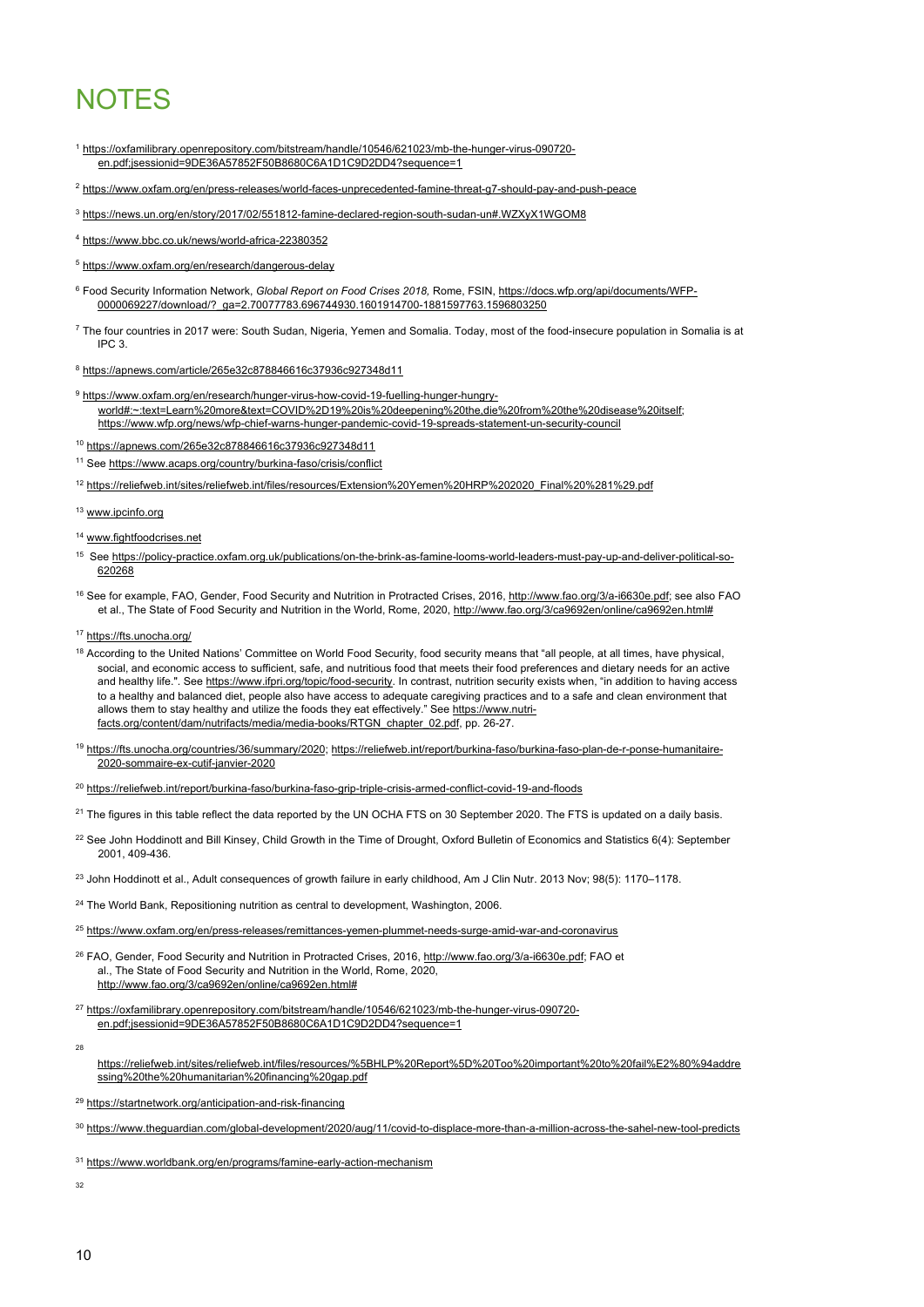# **NOTES**

- <sup>1</sup> https://oxfamilibrary.openrepository.com/bitstream/handle/10546/621023/mb-the-hunger-virus-090720 en.pdf:jsessionid=9DE36A57852F50B8680C6A1D1C9D2DD4?sequence=1
- <sup>2</sup> https://www.oxfam.org/en/press-releases/world-faces-unprecedented-famine-threat-g7-should-pay-and-push-peace
- <sup>3</sup> https://news.un.org/en/story/2017/02/551812-famine-declared-region-south-sudan-un#.WZXyX1WGOM8
- <sup>4</sup> https://www.bbc.co.uk/news/world-africa-22380352
- <sup>5</sup> https://www.oxfam.org/en/research/dangerous-delay
- <sup>6</sup> Food Security Information Network, *Global Report on Food Crises 2018,* Rome, FSIN, https://docs.wfp.org/api/documents/WFP-0000069227/download/?\_ga=2.70077783.696744930.1601914700-1881597763.1596803250
- <sup>7</sup> The four countries in 2017 were: South Sudan, Nigeria, Yemen and Somalia. Today, most of the food-insecure population in Somalia is at IPC 3.
- <sup>8</sup> https://apnews.com/article/265e32c878846616c37936c927348d11
- <sup>9</sup> https://www.oxfam.org/en/research/hunger-virus-how-covid-19-fuelling-hunger-hungryworld#:~:text=Learn%20more&text=COVID%2D19%20is%20deepening%20the,die%20from%20the%20disease%20itself; https://www.wfp.org/news/wfp-chief-warns-hunger-pandemic-covid-19-spreads-statement-un-security-council
- <sup>10</sup> https://apnews.com/265e32c878846616c37936c927348d11
- <sup>11</sup> See https://www.acaps.org/country/burkina-faso/crisis/conflict
- <sup>12</sup> https://reliefweb.int/sites/reliefweb.int/files/resources/Extension%20Yemen%20HRP%202020\_Final%20%281%29.pdf
- 13 www.ipcinfo.org
- <sup>14</sup> www.fightfoodcrises.net
- <sup>15</sup> See https://policy-practice.oxfam.org.uk/publications/on-the-brink-as-famine-looms-world-leaders-must-pay-up-and-deliver-political-so-620268
- <sup>16</sup> See for example, FAO, Gender, Food Security and Nutrition in Protracted Crises, 2016, http://www.fao.org/3/a-i6630e.pdf; see also FAO et al., The State of Food Security and Nutrition in the World, Rome, 2020, http://www.fao.org/3/ca9692en/online/ca9692en.html#
- 17 https://fts.unocha.org/
- <sup>18</sup> According to the United Nations' Committee on World Food Security, food security means that "all people, at all times, have physical, social, and economic access to sufficient, safe, and nutritious food that meets their food preferences and dietary needs for an active and healthy life.". See https://www.ifpri.org/topic/food-security. In contrast, nutrition security exists when, "in addition to having access to a healthy and balanced diet, people also have access to adequate caregiving practices and to a safe and clean environment that allows them to stay healthy and utilize the foods they eat effectively." See https://www.nutrifacts.org/content/dam/nutrifacts/media/media-books/RTGN\_chapter\_02.pdf, pp. 26-27.
- <sup>19</sup> https://fts.unocha.org/countries/36/summary/2020; https://reliefweb.int/report/burkina-faso/burkina-faso-plan-de-r-ponse-humanitaire-2020-sommaire-ex-cutif-janvier-2020
- <sup>20</sup> https://reliefweb.int/report/burkina-faso/burkina-faso-grip-triple-crisis-armed-conflict-covid-19-and-floods
- $21$  The figures in this table reflect the data reported by the UN OCHA FTS on 30 September 2020. The FTS is updated on a daily basis.
- <sup>22</sup> See John Hoddinott and Bill Kinsey, Child Growth in the Time of Drought, Oxford Bulletin of Economics and Statistics 6(4): September 2001, 409-436.
- <sup>23</sup> John Hoddinott et al., Adult consequences of growth failure in early childhood, Am J Clin Nutr. 2013 Nov; 98(5): 1170–1178.
- <sup>24</sup> The World Bank, Repositioning nutrition as central to development, Washington, 2006.
- <sup>25</sup> https://www.oxfam.org/en/press-releases/remittances-yemen-plummet-needs-surge-amid-war-and-coronavirus
- <sup>26</sup> FAO, Gender, Food Security and Nutrition in Protracted Crises, 2016, http://www.fao.org/3/a-i6630e.pdf; FAO et al., The State of Food Security and Nutrition in the World, Rome, 2020, http://www.fao.org/3/ca9692en/online/ca9692en.html#
- <sup>27</sup> https://oxfamilibrary.openrepository.com/bitstream/handle/10546/621023/mb-the-hunger-virus-090720 en.pdf;jsessionid=9DE36A57852F50B8680C6A1D1C9D2DD4?sequence=1
- 28
- https://reliefweb.int/sites/reliefweb.int/files/resources/%5BHLP%20Report%5D%20Too%20important%20to%20fail%E2%80%94addre ssing%20the%20humanitarian%20financing%20gap.pdf
- <sup>29</sup> https://startnetwork.org/anticipation-and-risk-financing

<sup>30</sup> https://www.theguardian.com/global-development/2020/aug/11/covid-to-displace-more-than-a-million-across-the-sahel-new-tool-predicts

- <sup>31</sup> https://www.worldbank.org/en/programs/famine-early-action-mechanism
- 32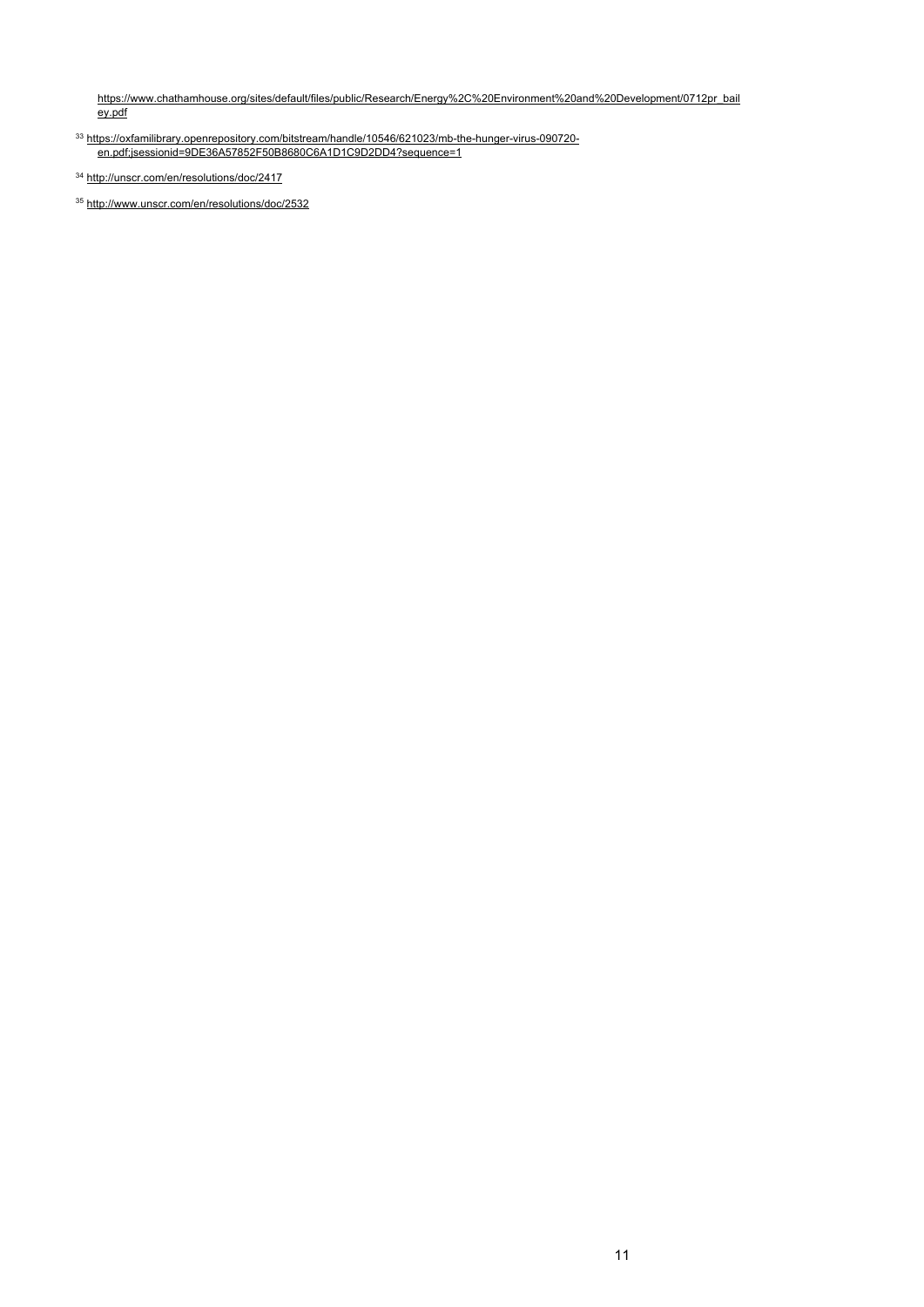https://www.chathamhouse.org/sites/default/files/public/Research/Energy%2C%20Environment%20and%20Development/0712pr\_bail ey.pdf

<sup>33</sup> https://oxfamilibrary.openrepository.com/bitstream/handle/10546/621023/mb-the-hunger-virus-090720 en.pdf;jsessionid=9DE36A57852F50B8680C6A1D1C9D2DD4?sequence=1

<sup>35</sup> http://www.unscr.com/en/resolutions/doc/2532

<sup>34</sup> http://unscr.com/en/resolutions/doc/2417